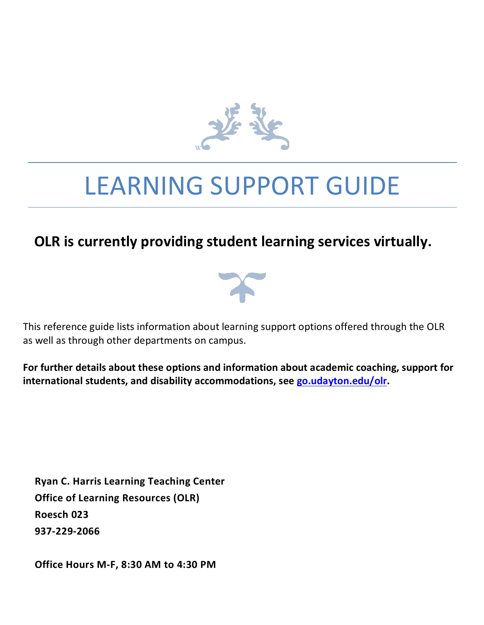

# LEARNING SUPPORT GUIDE

# **OLR** is currently providing student learning services virtually.



This reference guide lists information about learning support options offered through the OLR as well as through other departments on campus.

For further details about these options and information about academic coaching, support for international students, and disability accommodations, see go.udayton.edu/olr.

**Ryan C. Harris Learning Teaching Center Office of Learning Resources (OLR) Roesch 023 937-229-2066**

**Office Hours M-F, 8:30 AM to 4:30 PM**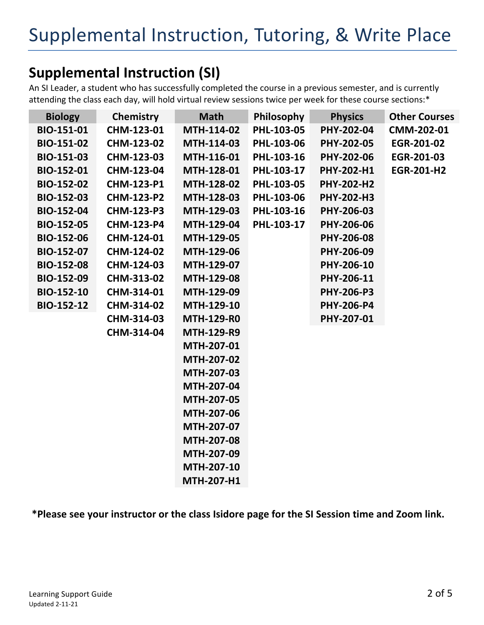# **Supplemental Instruction (SI)**

An SI Leader, a student who has successfully completed the course in a previous semester, and is currently attending the class each day, will hold virtual review sessions twice per week for these course sections:\*

| <b>Biology</b>    | <b>Chemistry</b>  | <b>Math</b>       | Philosophy | <b>Physics</b>    | <b>Other Courses</b> |
|-------------------|-------------------|-------------------|------------|-------------------|----------------------|
| <b>BIO-151-01</b> | CHM-123-01        | MTH-114-02        | PHL-103-05 | PHY-202-04        | CMM-202-01           |
| <b>BIO-151-02</b> | CHM-123-02        | MTH-114-03        | PHL-103-06 | PHY-202-05        | EGR-201-02           |
| <b>BIO-151-03</b> | CHM-123-03        | MTH-116-01        | PHL-103-16 | PHY-202-06        | EGR-201-03           |
| <b>BIO-152-01</b> | CHM-123-04        | MTH-128-01        | PHL-103-17 | PHY-202-H1        | <b>EGR-201-H2</b>    |
| <b>BIO-152-02</b> | <b>CHM-123-P1</b> | MTH-128-02        | PHL-103-05 | <b>PHY-202-H2</b> |                      |
| <b>BIO-152-03</b> | <b>CHM-123-P2</b> | MTH-128-03        | PHL-103-06 | PHY-202-H3        |                      |
| <b>BIO-152-04</b> | <b>CHM-123-P3</b> | MTH-129-03        | PHL-103-16 | PHY-206-03        |                      |
| <b>BIO-152-05</b> | <b>CHM-123-P4</b> | MTH-129-04        | PHL-103-17 | PHY-206-06        |                      |
| <b>BIO-152-06</b> | CHM-124-01        | MTH-129-05        |            | PHY-206-08        |                      |
| <b>BIO-152-07</b> | CHM-124-02        | MTH-129-06        |            | PHY-206-09        |                      |
| <b>BIO-152-08</b> | CHM-124-03        | MTH-129-07        |            | PHY-206-10        |                      |
| <b>BIO-152-09</b> | CHM-313-02        | MTH-129-08        |            | PHY-206-11        |                      |
| <b>BIO-152-10</b> | CHM-314-01        | MTH-129-09        |            | <b>PHY-206-P3</b> |                      |
| <b>BIO-152-12</b> | CHM-314-02        | MTH-129-10        |            | <b>PHY-206-P4</b> |                      |
|                   | CHM-314-03        | <b>MTH-129-R0</b> |            | PHY-207-01        |                      |
|                   | CHM-314-04        | <b>MTH-129-R9</b> |            |                   |                      |
|                   |                   | MTH-207-01        |            |                   |                      |
|                   |                   | MTH-207-02        |            |                   |                      |
|                   |                   | MTH-207-03        |            |                   |                      |
|                   |                   | MTH-207-04        |            |                   |                      |
|                   |                   | MTH-207-05        |            |                   |                      |
|                   |                   | MTH-207-06        |            |                   |                      |
|                   |                   | MTH-207-07        |            |                   |                      |
|                   |                   | MTH-207-08        |            |                   |                      |
|                   |                   | MTH-207-09        |            |                   |                      |
|                   |                   | MTH-207-10        |            |                   |                      |
|                   |                   | <b>MTH-207-H1</b> |            |                   |                      |

**\*Please see your instructor or the class Isidore page for the SI Session time and Zoom link.**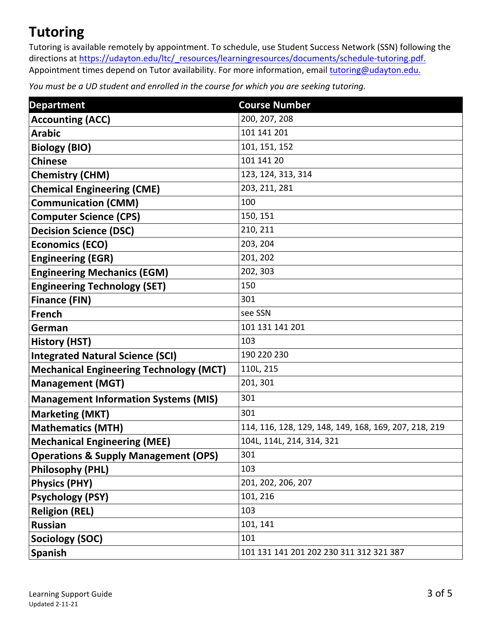# **Tutoring**

Tutoring is available remotely by appointment. To schedule, use Student Success Network (SSN) following the directions at https://udayton.edu/ltc/\_resources/learningresources/documents/schedule-tutoring.pdf. Appointment times depend on Tutor availability. For more information, email tutoring@udayton.edu.

*You* must be a UD student and enrolled in the course for which you are seeking tutoring.

| <b>Department</b>                               | <b>Course Number</b>                                  |
|-------------------------------------------------|-------------------------------------------------------|
| <b>Accounting (ACC)</b>                         | 200, 207, 208                                         |
| <b>Arabic</b>                                   | 101 141 201                                           |
| <b>Biology (BIO)</b>                            | 101, 151, 152                                         |
| <b>Chinese</b>                                  | 101 141 20                                            |
| <b>Chemistry (CHM)</b>                          | 123, 124, 313, 314                                    |
| <b>Chemical Engineering (CME)</b>               | 203, 211, 281                                         |
| <b>Communication (CMM)</b>                      | 100                                                   |
| <b>Computer Science (CPS)</b>                   | 150, 151                                              |
| <b>Decision Science (DSC)</b>                   | 210, 211                                              |
| <b>Economics (ECO)</b>                          | 203, 204                                              |
| <b>Engineering (EGR)</b>                        | 201, 202                                              |
| <b>Engineering Mechanics (EGM)</b>              | 202, 303                                              |
| <b>Engineering Technology (SET)</b>             | 150                                                   |
| <b>Finance (FIN)</b>                            | 301                                                   |
| <b>French</b>                                   | see SSN                                               |
| German                                          | 101 131 141 201                                       |
| <b>History (HST)</b>                            | 103                                                   |
| <b>Integrated Natural Science (SCI)</b>         | 190 220 230                                           |
| <b>Mechanical Engineering Technology (MCT)</b>  | 110L, 215                                             |
| <b>Management (MGT)</b>                         | 201, 301                                              |
| <b>Management Information Systems (MIS)</b>     | 301                                                   |
| <b>Marketing (MKT)</b>                          | 301                                                   |
| <b>Mathematics (MTH)</b>                        | 114, 116, 128, 129, 148, 149, 168, 169, 207, 218, 219 |
| <b>Mechanical Engineering (MEE)</b>             | 104L, 114L, 214, 314, 321                             |
| <b>Operations &amp; Supply Management (OPS)</b> | 301                                                   |
| <b>Philosophy (PHL)</b>                         | 103                                                   |
| <b>Physics (PHY)</b>                            | 201, 202, 206, 207                                    |
| <b>Psychology (PSY)</b>                         | 101, 216                                              |
| <b>Religion (REL)</b>                           | 103                                                   |
| <b>Russian</b>                                  | 101, 141                                              |
| <b>Sociology (SOC)</b>                          | 101                                                   |
| <b>Spanish</b>                                  | 101 131 141 201 202 230 311 312 321 387               |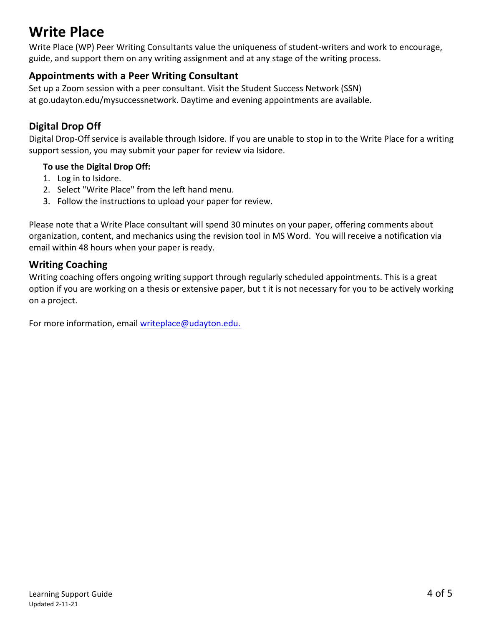# **Write Place**

Write Place (WP) Peer Writing Consultants value the uniqueness of student-writers and work to encourage, guide, and support them on any writing assignment and at any stage of the writing process.

# **Appointments with a Peer Writing Consultant**

Set up a Zoom session with a peer consultant. Visit the Student Success Network (SSN) at go.udayton.edu/mysuccessnetwork. Daytime and evening appointments are available.

# **Digital Drop Off**

Digital Drop-Off service is available through Isidore. If you are unable to stop in to the Write Place for a writing support session, you may submit your paper for review via Isidore.

#### **To use the Digital Drop Off:**

- 1. Log in to Isidore.
- 2. Select "Write Place" from the left hand menu.
- 3. Follow the instructions to upload your paper for review.

Please note that a Write Place consultant will spend 30 minutes on your paper, offering comments about organization, content, and mechanics using the revision tool in MS Word. You will receive a notification via email within 48 hours when your paper is ready.

# **Writing Coaching**

Writing coaching offers ongoing writing support through regularly scheduled appointments. This is a great option if you are working on a thesis or extensive paper, but t it is not necessary for you to be actively working on a project.

For more information, email writeplace@udayton.edu.